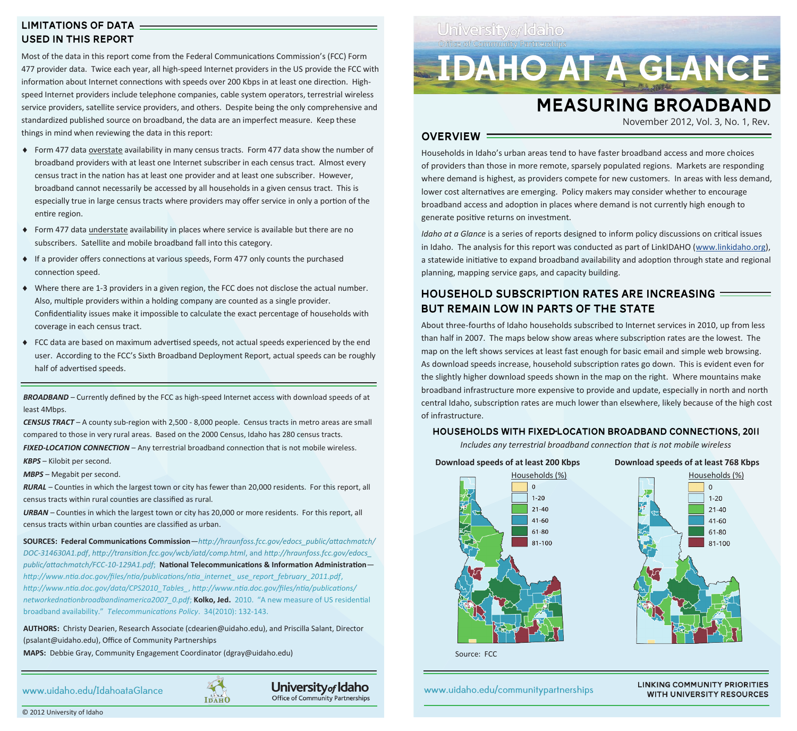# **LIMITATIONS OF DATA USED IN THIS REPORT**

Most of the data in this report come from the Federal Communications Commission's (FCC) Form 477 provider data. Twice each year, all high-speed Internet providers in the US provide the FCC with information about Internet connections with speeds over 200 Kbps in at least one direction. Highspeed Internet providers include telephone companies, cable system operators, terrestrial wireless service providers, satellite service providers, and others. Despite being the only comprehensive and standardized published source on broadband, the data are an imperfect measure. Keep these things in mind when reviewing the data in this report:

- Form 477 data overstate availability in many census tracts. Form 477 data show the number of broadband providers with at least one Internet subscriber in each census tract. Almost every census tract in the nation has at least one provider and at least one subscriber. However, broadband cannot necessarily be accessed by all households in a given census tract. This is especially true in large census tracts where providers may offer service in only a portion of the entire region.
- Form 477 data understate availability in places where service is available but there are no subscribers. Satellite and mobile broadband fall into this category.
- If a provider offers connections at various speeds, Form 477 only counts the purchased connection speed.
- Where there are 1-3 providers in a given region, the FCC does not disclose the actual number. Also, multiple providers within a holding company are counted as a single provider. Confidentiality issues make it impossible to calculate the exact percentage of households with coverage in each census tract.
- FCC data are based on maximum advertised speeds, not actual speeds experienced by the end user. According to the FCC's Sixth Broadband Deployment Report, actual speeds can be roughly half of advertised speeds.

*BROADBAND* – Currently defined by the FCC as high-speed Internet access with download speeds of at least 4Mbps.

*CENSUS TRACT* – A county sub-region with 2,500 - 8,000 people. Census tracts in metro areas are small compared to those in very rural areas. Based on the 2000 Census, Idaho has 280 census tracts.

*FIXED*-LOCATION CONNECTION – Any terrestrial broadband connection that is not mobile wireless.

*KBPS* – Kilobit per second.

*MBPS* – Megabit per second.

*RURAL* – Counties in which the largest town or city has fewer than 20,000 residents. For this report, all census tracts within rural counties are classified as rural.

*URBAN* – Counties in which the largest town or city has 20,000 or more residents. For this report, all census tracts within urban counties are classified as urban.

**SOURCES: Federal Communications Commission**—*http://hraunfoss.fcc.gov/edocs\_public/attachmatch/ DOC-314630A1.pdf*, *http://transition.fcc.gov/wcb/iatd/comp.html*, and *http://hraunfoss.fcc.gov/edocs\_ public/attachmatch/FCC-10-129A1.pdf*; **National Telecommunications & Information Administration** *http://www.ntia.doc.gov/files/ntia/publications/ntia\_internet\_ use\_report\_february\_2011.pdf*, *http://www.ntia.doc.gov/data/CPS2010\_Tables\_*, *http://www.ntia.doc.gov/files/ntia/publications/ networkednationbroadbandinamerica2007\_0.pdf*; **Kolko, Jed.** 2010. "A new measure of US residential broadband availability." *Telecommunications Policy*. 34(2010): 132-143.

**AUTHORS:** Christy Dearien, Research Associate (cdearien@uidaho.edu), and Priscilla Salant, Director (psalant@uidaho.edu), Office of Community Partnerships

**MAPS:** Debbie Gray, Community Engagement Coordinator (dgray@uidaho.edu)

www.uidaho.edu/IdahoataGlance





University of Idaho Office of Community Partnerships

**IDAHO AT A GLANCE** 

# **MEASURING BROADBAND**

November 2012, Vol. 3, No. 1, Rev.

### $OVERVIEW =$

Households in Idaho's urban areas tend to have faster broadband access and more choices of providers than those in more remote, sparsely populated regions. Markets are responding where demand is highest, as providers compete for new customers. In areas with less demand, lower cost alternatives are emerging. Policy makers may consider whether to encourage broadband access and adoption in places where demand is not currently high enough to generate positive returns on investment.

*Idaho at a Glance* is a series of reports designed to inform policy discussions on critical issues in Idaho. The analysis for this report was conducted as part of LinkIDAHO [\(www.linkidaho.org\),](http://www.linkidaho.org) a statewide initiative to expand broadband availability and adoption through state and regional planning, mapping service gaps, and capacity building.

# HOUSEHOLD SUBSCRIPTION RATES ARE INCREASING = BUT REMAIN LOW IN PARTS OF THE STATE

About three-fourths of Idaho households subscribed to Internet services in 2010, up from less than half in 2007. The maps below show areas where subscription rates are the lowest. The map on the left shows services at least fast enough for basic email and simple web browsing. As download speeds increase, household subscription rates go down. This is evident even for the slightly higher download speeds shown in the map on the right. Where mountains make broadband infrastructure more expensive to provide and update, especially in north and north central Idaho, subscription rates are much lower than elsewhere, likely because of the high cost of infrastructure.

### HOUSEHOLDS WITH FIXED-LOCATION BROADBAND CONNECTIONS, 2011

*Includes any terrestrial broadband connection that is not mobile wireless*

**Download speeds of at least 200 Kbps Download speeds of at least 768 Kbps**





Source: FCC

www.uidaho.edu/communitypartnerships

**LINKING COMMUNITY PRIORITIES WITH UNIVERSITY RESOURCES** 

© 2012 University of Idaho